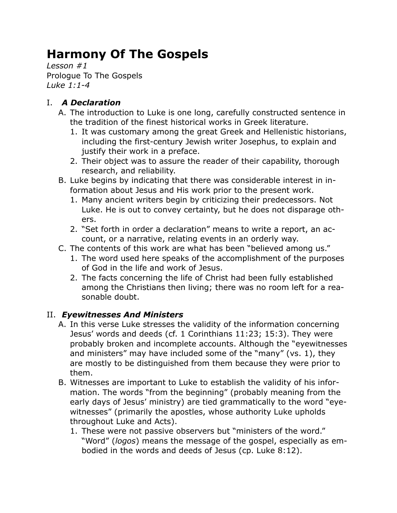# **Harmony Of The Gospels**

*Lesson #1* Prologue To The Gospels *Luke 1:1-4*

## I. *A Declaration*

- A. The introduction to Luke is one long, carefully constructed sentence in the tradition of the finest historical works in Greek literature.
	- 1. It was customary among the great Greek and Hellenistic historians, including the first-century Jewish writer Josephus, to explain and justify their work in a preface.
	- 2. Their object was to assure the reader of their capability, thorough research, and reliability.
- B. Luke begins by indicating that there was considerable interest in information about Jesus and His work prior to the present work.
	- 1. Many ancient writers begin by criticizing their predecessors. Not Luke. He is out to convey certainty, but he does not disparage others.
	- 2. "Set forth in order a declaration" means to write a report, an account, or a narrative, relating events in an orderly way.
- C. The contents of this work are what has been "believed among us."
	- 1. The word used here speaks of the accomplishment of the purposes of God in the life and work of Jesus.
	- 2. The facts concerning the life of Christ had been fully established among the Christians then living; there was no room left for a reasonable doubt.

### II. *Eyewitnesses And Ministers*

- A. In this verse Luke stresses the validity of the information concerning Jesus' words and deeds (cf. 1 Corinthians 11:23; 15:3). They were probably broken and incomplete accounts. Although the "eyewitnesses and ministers" may have included some of the "many" (vs. 1), they are mostly to be distinguished from them because they were prior to them.
- B. Witnesses are important to Luke to establish the validity of his information. The words "from the beginning" (probably meaning from the early days of Jesus' ministry) are tied grammatically to the word "eyewitnesses" (primarily the apostles, whose authority Luke upholds throughout Luke and Acts).
	- 1. These were not passive observers but "ministers of the word." "Word" (*logos*) means the message of the gospel, especially as embodied in the words and deeds of Jesus (cp. Luke 8:12).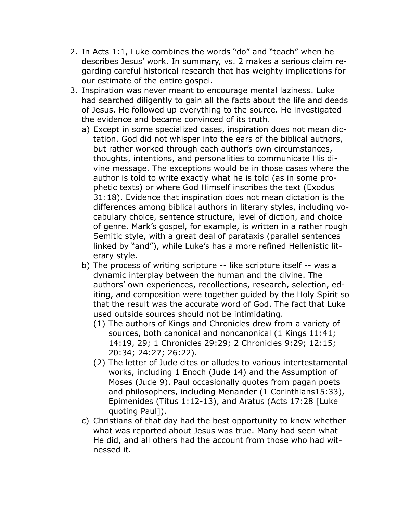- 2. In Acts 1:1, Luke combines the words "do" and "teach" when he describes Jesus' work. In summary, vs. 2 makes a serious claim regarding careful historical research that has weighty implications for our estimate of the entire gospel.
- 3. Inspiration was never meant to encourage mental laziness. Luke had searched diligently to gain all the facts about the life and deeds of Jesus. He followed up everything to the source. He investigated the evidence and became convinced of its truth.
	- a) Except in some specialized cases, inspiration does not mean dictation. God did not whisper into the ears of the biblical authors, but rather worked through each author's own circumstances, thoughts, intentions, and personalities to communicate His divine message. The exceptions would be in those cases where the author is told to write exactly what he is told (as in some prophetic texts) or where God Himself inscribes the text (Exodus 31:18). Evidence that inspiration does not mean dictation is the differences among biblical authors in literary styles, including vocabulary choice, sentence structure, level of diction, and choice of genre. Mark's gospel, for example, is written in a rather rough Semitic style, with a great deal of parataxis (parallel sentences linked by "and"), while Luke's has a more refined Hellenistic literary style.
	- b) The process of writing scripture -- like scripture itself -- was a dynamic interplay between the human and the divine. The authors' own experiences, recollections, research, selection, editing, and composition were together guided by the Holy Spirit so that the result was the accurate word of God. The fact that Luke used outside sources should not be intimidating.
		- (1) The authors of Kings and Chronicles drew from a variety of sources, both canonical and noncanonical (1 Kings 11:41; 14:19, 29; 1 Chronicles 29:29; 2 Chronicles 9:29; 12:15; 20:34; 24:27; 26:22).
		- (2) The letter of Jude cites or alludes to various intertestamental works, including 1 Enoch (Jude 14) and the Assumption of Moses (Jude 9). Paul occasionally quotes from pagan poets and philosophers, including Menander (1 Corinthians15:33), Epimenides (Titus 1:12-13), and Aratus (Acts 17:28 [Luke quoting Paul]).
	- c) Christians of that day had the best opportunity to know whether what was reported about Jesus was true. Many had seen what He did, and all others had the account from those who had witnessed it.